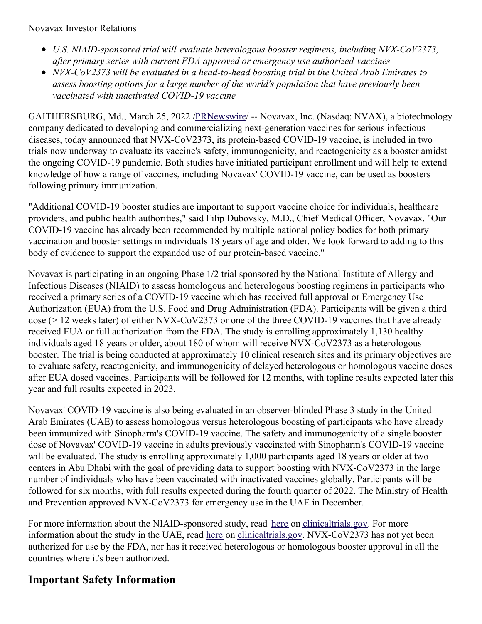Novavax Investor Relations

- *U.S. NIAID-sponsored trial will evaluate heterologous booster regimens, including NVX-CoV2373, after primary series with current FDA approved or emergency use authorized-vaccines*
- *NVX-CoV2373 will be evaluated in a head-to-head boosting trial in the United Arab Emirates to assess boosting options for a large number of the world's population that have previously been vaccinated with inactivated COVID-19 vaccine*

GAITHERSBURG, Md., March 25, 2022 [/PRNewswire](http://www.prnewswire.com/)/ -- Novavax, Inc. (Nasdaq: NVAX), a biotechnology company dedicated to developing and commercializing next-generation vaccines for serious infectious diseases, today announced that NVX-CoV2373, its protein-based COVID-19 vaccine, is included in two trials now underway to evaluate its vaccine's safety, immunogenicity, and reactogenicity as a booster amidst the ongoing COVID-19 pandemic. Both studies have initiated participant enrollment and will help to extend knowledge of how a range of vaccines, including Novavax' COVID-19 vaccine, can be used as boosters following primary immunization.

"Additional COVID-19 booster studies are important to support vaccine choice for individuals, healthcare providers, and public health authorities," said Filip Dubovsky, M.D., Chief Medical Officer, Novavax. "Our COVID-19 vaccine has already been recommended by multiple national policy bodies for both primary vaccination and booster settings in individuals 18 years of age and older. We look forward to adding to this body of evidence to support the expanded use of our protein-based vaccine."

Novavax is participating in an ongoing Phase 1/2 trial sponsored by the National Institute of Allergy and Infectious Diseases (NIAID) to assess homologous and heterologous boosting regimens in participants who received a primary series of a COVID-19 vaccine which has received full approval or Emergency Use Authorization (EUA) from the U.S. Food and Drug Administration (FDA). Participants will be given a third dose ( $\geq$  12 weeks later) of either NVX-CoV2373 or one of the three COVID-19 vaccines that have already received EUA or full authorization from the FDA. The study is enrolling approximately 1,130 healthy individuals aged 18 years or older, about 180 of whom will receive NVX-CoV2373 as a heterologous booster. The trial is being conducted at approximately 10 clinical research sites and its primary objectives are to evaluate safety, reactogenicity, and immunogenicity of delayed heterologous or homologous vaccine doses after EUA dosed vaccines. Participants will be followed for 12 months, with topline results expected later this year and full results expected in 2023.

Novavax' COVID-19 vaccine is also being evaluated in an observer-blinded Phase 3 study in the United Arab Emirates (UAE) to assess homologous versus heterologous boosting of participants who have already been immunized with Sinopharm's COVID-19 vaccine. The safety and immunogenicity of a single booster dose of Novavax' COVID-19 vaccine in adults previously vaccinated with Sinopharm's COVID-19 vaccine will be evaluated. The study is enrolling approximately 1,000 participants aged 18 years or older at two centers in Abu Dhabi with the goal of providing data to support boosting with NVX-CoV2373 in the large number of individuals who have been vaccinated with inactivated vaccines globally. Participants will be followed for six months, with full results expected during the fourth quarter of 2022. The Ministry of Health and Prevention approved NVX-CoV2373 for emergency use in the UAE in December.

For more information about the NIAID-sponsored study, read [here](https://c212.net/c/link/?t=0&l=en&o=3484554-1&h=3715017585&u=https%3A%2F%2Fclinicaltrials.gov%2Fct2%2Fshow%2FNCT04889209&a=here) on [clinicaltrials.gov](https://c212.net/c/link/?t=0&l=en&o=3484554-1&h=3620262671&u=http%3A%2F%2Fclinicaltrials.gov%2F&a=clinicaltrials.gov). For more information about the study in the UAE, read [here](https://c212.net/c/link/?t=0&l=en&o=3484554-1&h=3437967571&u=https%3A%2F%2Fwww.clinicaltrials.gov%2Fct2%2Fshow%2FNCT05249816&a=here) on [clinicaltrials.gov](https://c212.net/c/link/?t=0&l=en&o=3484554-1&h=3620262671&u=http%3A%2F%2Fclinicaltrials.gov%2F&a=clinicaltrials.gov). NVX-CoV2373 has not yet been authorized for use by the FDA, nor has it received heterologous or homologous booster approval in all the countries where it's been authorized.

## **Important Safety Information**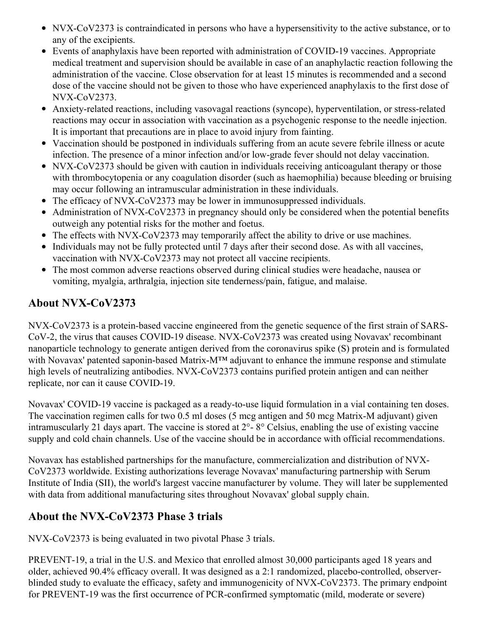- NVX-CoV2373 is contraindicated in persons who have a hypersensitivity to the active substance, or to any of the excipients.
- Events of anaphylaxis have been reported with administration of COVID-19 vaccines. Appropriate medical treatment and supervision should be available in case of an anaphylactic reaction following the administration of the vaccine. Close observation for at least 15 minutes is recommended and a second dose of the vaccine should not be given to those who have experienced anaphylaxis to the first dose of NVX-CoV2373.
- Anxiety-related reactions, including vasovagal reactions (syncope), hyperventilation, or stress-related reactions may occur in association with vaccination as a psychogenic response to the needle injection. It is important that precautions are in place to avoid injury from fainting.
- Vaccination should be postponed in individuals suffering from an acute severe febrile illness or acute infection. The presence of a minor infection and/or low-grade fever should not delay vaccination.
- NVX-CoV2373 should be given with caution in individuals receiving anticoagulant therapy or those with thrombocytopenia or any coagulation disorder (such as haemophilia) because bleeding or bruising may occur following an intramuscular administration in these individuals.
- The efficacy of NVX-CoV2373 may be lower in immunosuppressed individuals.
- Administration of NVX-CoV2373 in pregnancy should only be considered when the potential benefits outweigh any potential risks for the mother and foetus.
- The effects with NVX-CoV2373 may temporarily affect the ability to drive or use machines.
- Individuals may not be fully protected until 7 days after their second dose. As with all vaccines, vaccination with NVX-CoV2373 may not protect all vaccine recipients.
- The most common adverse reactions observed during clinical studies were headache, nausea or vomiting, myalgia, arthralgia, injection site tenderness/pain, fatigue, and malaise.

# **About NVX-CoV2373**

NVX-CoV2373 is a protein-based vaccine engineered from the genetic sequence of the first strain of SARS-CoV-2, the virus that causes COVID-19 disease. NVX-CoV2373 was created using Novavax' recombinant nanoparticle technology to generate antigen derived from the coronavirus spike (S) protein and is formulated with Novavax' patented saponin-based Matrix-M™ adjuvant to enhance the immune response and stimulate high levels of neutralizing antibodies. NVX-CoV2373 contains purified protein antigen and can neither replicate, nor can it cause COVID-19.

Novavax' COVID-19 vaccine is packaged as a ready-to-use liquid formulation in a vial containing ten doses. The vaccination regimen calls for two 0.5 ml doses (5 mcg antigen and 50 mcg Matrix-M adjuvant) given intramuscularly 21 days apart. The vaccine is stored at 2°- 8° Celsius, enabling the use of existing vaccine supply and cold chain channels. Use of the vaccine should be in accordance with official recommendations.

Novavax has established partnerships for the manufacture, commercialization and distribution of NVX-CoV2373 worldwide. Existing authorizations leverage Novavax' manufacturing partnership with Serum Institute of India (SII), the world's largest vaccine manufacturer by volume. They will later be supplemented with data from additional manufacturing sites throughout Novavax' global supply chain.

## **About the NVX-CoV2373 Phase 3 trials**

NVX-CoV2373 is being evaluated in two pivotal Phase 3 trials.

PREVENT-19, a trial in the U.S. and Mexico that enrolled almost 30,000 participants aged 18 years and older, achieved 90.4% efficacy overall. It was designed as a 2:1 randomized, placebo-controlled, observerblinded study to evaluate the efficacy, safety and immunogenicity of NVX-CoV2373. The primary endpoint for PREVENT-19 was the first occurrence of PCR-confirmed symptomatic (mild, moderate or severe)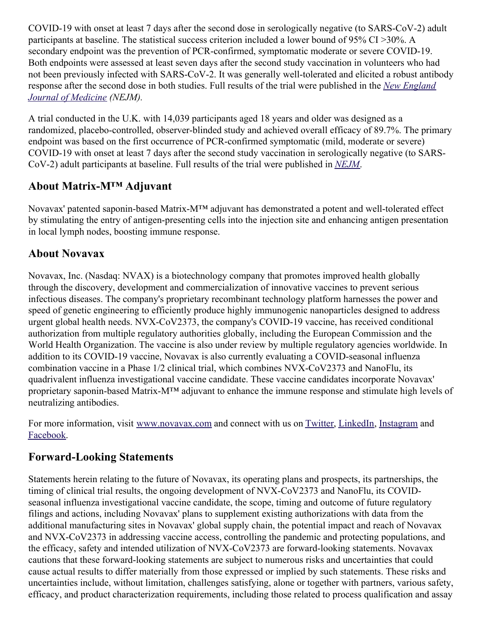COVID-19 with onset at least 7 days after the second dose in serologically negative (to SARS-CoV-2) adult participants at baseline. The statistical success criterion included a lower bound of 95% CI >30%. A secondary endpoint was the prevention of PCR-confirmed, symptomatic moderate or severe COVID-19. Both endpoints were assessed at least seven days after the second study vaccination in volunteers who had not been previously infected with SARS-CoV-2. It was generally well-tolerated and elicited a robust antibody response after the second dose in both studies. Full results of the trial were [published](https://c212.net/c/link/?t=0&l=en&o=3484554-1&h=1771032719&u=https%3A%2F%2Fc212.net%2Fc%2Flink%2F%3Ft%3D0%26l%3Den%26o%3D3440781-1%26h%3D467849857%26u%3Dhttps%253A%252F%252Fwww.nejm.org%252Fdoi%252Ffull%252F10.1056%252FNEJMoa2116185%253Fquery%253Dfeatured_home%26a%3DNew%2BEngland%2BJournal%2Bof%2BMedicine&a=New+England+Journal+of+Medicine) in the *New England Journal of Medicine (NEJM).*

A trial conducted in the U.K. with 14,039 participants aged 18 years and older was designed as a randomized, placebo-controlled, observer-blinded study and achieved overall efficacy of 89.7%. The primary endpoint was based on the first occurrence of PCR-confirmed symptomatic (mild, moderate or severe) COVID-19 with onset at least 7 days after the second study vaccination in serologically negative (to SARS-CoV-2) adult participants at baseline. Full results of the trial were published in *[NEJM](https://c212.net/c/link/?t=0&l=en&o=3484554-1&h=2315615696&u=https%3A%2F%2Fc212.net%2Fc%2Flink%2F%3Ft%3D0%26l%3Den%26o%3D3440781-1%26h%3D3617137863%26u%3Dhttps%253A%252F%252Fwww.nejm.org%252Fdoi%252Ffull%252F10.1056%252FNEJMoa2107659%26a%3DNEJM&a=NEJM)*.

## **About Matrix-M™ Adjuvant**

Novavax' patented saponin-based Matrix-M™ adjuvant has demonstrated a potent and well-tolerated effect by stimulating the entry of antigen-presenting cells into the injection site and enhancing antigen presentation in local lymph nodes, boosting immune response.

## **About Novavax**

Novavax, Inc. (Nasdaq: NVAX) is a biotechnology company that promotes improved health globally through the discovery, development and commercialization of innovative vaccines to prevent serious infectious diseases. The company's proprietary recombinant technology platform harnesses the power and speed of genetic engineering to efficiently produce highly immunogenic nanoparticles designed to address urgent global health needs. NVX-CoV2373, the company's COVID-19 vaccine, has received conditional authorization from multiple regulatory authorities globally, including the European Commission and the World Health Organization. The vaccine is also under review by multiple regulatory agencies worldwide. In addition to its COVID-19 vaccine, Novavax is also currently evaluating a COVID-seasonal influenza combination vaccine in a Phase 1/2 clinical trial, which combines NVX-CoV2373 and NanoFlu, its quadrivalent influenza investigational vaccine candidate. These vaccine candidates incorporate Novavax' proprietary saponin-based Matrix-M™ adjuvant to enhance the immune response and stimulate high levels of neutralizing antibodies.

For more information, visit [www.novavax.com](https://c212.net/c/link/?t=0&l=en&o=3484554-1&h=3500505263&u=http%3A%2F%2Fwww.novavax.com%2F&a=www.novavax.com) and connect with us on [Twitter](https://c212.net/c/link/?t=0&l=en&o=3484554-1&h=570348136&u=https%3A%2F%2Fc212.net%2Fc%2Flink%2F%3Ft%3D0%26l%3Den%26o%3D3399869-1%26h%3D2040794221%26u%3Dhttps%253A%252F%252Fc212.net%252Fc%252Flink%252F%253Ft%253D0%2526l%253Den%2526o%253D3260461-1%2526h%253D1316526774%2526u%253Dhttps%25253A%25252F%25252Fc212.net%25252Fc%25252Flink%25252F%25253Ft%25253D0%252526l%25253Den%252526o%25253D3158017-1%252526h%25253D500821283%252526u%25253Dhttps%2525253A%2525252F%2525252Ftwitter.com%2525252FNovavax%252526a%25253DTwitter%2526a%253DTwitter%26a%3DTwitter&a=Twitter), [LinkedIn](https://c212.net/c/link/?t=0&l=en&o=3484554-1&h=4025105047&u=https%3A%2F%2Fc212.net%2Fc%2Flink%2F%3Ft%3D0%26l%3Den%26o%3D3399869-1%26h%3D27315898%26u%3Dhttps%253A%252F%252Fc212.net%252Fc%252Flink%252F%253Ft%253D0%2526l%253Den%2526o%253D3260461-1%2526h%253D1508558197%2526u%253Dhttps%25253A%25252F%25252Fc212.net%25252Fc%25252Flink%25252F%25253Ft%25253D0%252526l%25253Den%252526o%25253D3158017-1%252526h%25253D3702938248%252526u%25253Dhttps%2525253A%2525252F%2525252Fwww.linkedin.com%2525252Fcompany%2525252Fnovavax%2525252F%252526a%25253DLinkedIn%2526a%253DLinkedIn%26a%3DLinkedIn&a=LinkedIn), [Instagram](https://c212.net/c/link/?t=0&l=en&o=3484554-1&h=3210429924&u=https%3A%2F%2Fc212.net%2Fc%2Flink%2F%3Ft%3D0%26l%3Den%26o%3D3399869-1%26h%3D2634683834%26u%3Dhttps%253A%252F%252Fc212.net%252Fc%252Flink%252F%253Ft%253D0%2526l%253Den%2526o%253D3367039-1%2526h%253D3348182013%2526u%253Dhttps%25253A%25252F%25252Fwww.instagram.com%25252Fnovavax%25252F%2526a%253DInstagram%26a%3DInstagram&a=Instagram) and [Facebook](https://c212.net/c/link/?t=0&l=en&o=3484554-1&h=2843940693&u=https%3A%2F%2Fc212.net%2Fc%2Flink%2F%3Ft%3D0%26l%3Den%26o%3D3399869-1%26h%3D1555903536%26u%3Dhttps%253A%252F%252Fwww.facebook.com%252FNovavax%252F%26a%3DFacebook&a=Facebook).

## **Forward-Looking Statements**

Statements herein relating to the future of Novavax, its operating plans and prospects, its partnerships, the timing of clinical trial results, the ongoing development of NVX-CoV2373 and NanoFlu, its COVIDseasonal influenza investigational vaccine candidate, the scope, timing and outcome of future regulatory filings and actions, including Novavax' plans to supplement existing authorizations with data from the additional manufacturing sites in Novavax' global supply chain, the potential impact and reach of Novavax and NVX-CoV2373 in addressing vaccine access, controlling the pandemic and protecting populations, and the efficacy, safety and intended utilization of NVX-CoV2373 are forward-looking statements. Novavax cautions that these forward-looking statements are subject to numerous risks and uncertainties that could cause actual results to differ materially from those expressed or implied by such statements. These risks and uncertainties include, without limitation, challenges satisfying, alone or together with partners, various safety, efficacy, and product characterization requirements, including those related to process qualification and assay